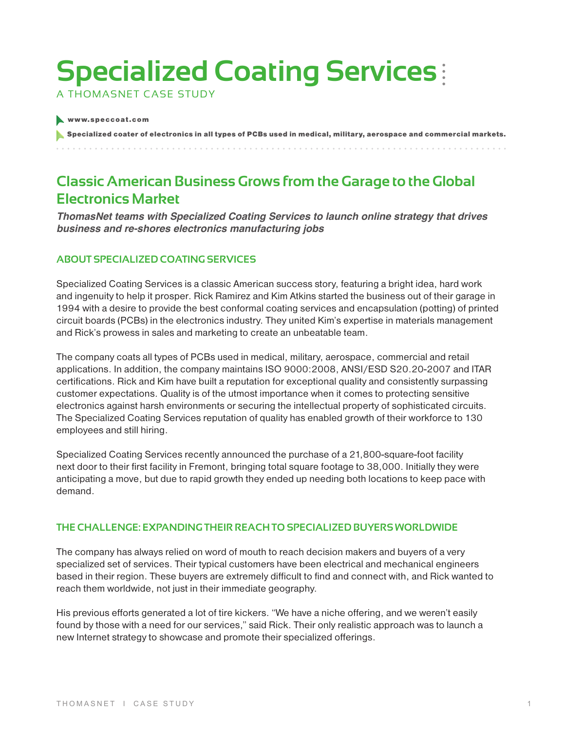# **Specialized Coating Services**

A ThomasNET Case Study

#### www.speccoat.com

Specialized coater of electronics in all types of PCBs used in medical, military, aerospace and commercial markets.

# **Classic American Business Grows from the Garage to the Global Electronics Market**

*ThomasNet teams with Specialized Coating Services to launch online strategy that drives business and re-shores electronics manufacturing jobs*

## **About Specialized Coating Services**

Specialized Coating Services is a classic American success story, featuring a bright idea, hard work and ingenuity to help it prosper. Rick Ramirez and Kim Atkins started the business out of their garage in 1994 with a desire to provide the best conformal coating services and encapsulation (potting) of printed circuit boards (PCBs) in the electronics industry. They united Kim's expertise in materials management and Rick's prowess in sales and marketing to create an unbeatable team.

The company coats all types of PCBs used in medical, military, aerospace, commercial and retail applications. In addition, the company maintains ISO 9000:2008, ANSI/ESD S20.20-2007 and ITAR certifications. Rick and Kim have built a reputation for exceptional quality and consistently surpassing customer expectations. Quality is of the utmost importance when it comes to protecting sensitive electronics against harsh environments or securing the intellectual property of sophisticated circuits. The Specialized Coating Services reputation of quality has enabled growth of their workforce to 130 employees and still hiring.

Specialized Coating Services recently announced the purchase of a 21,800-square-foot facility next door to their first facility in Fremont, bringing total square footage to 38,000. Initially they were anticipating a move, but due to rapid growth they ended up needing both locations to keep pace with demand.

## **The Challenge: Expanding their reach to specialized buyers worldwide**

The company has always relied on word of mouth to reach decision makers and buyers of a very specialized set of services. Their typical customers have been electrical and mechanical engineers based in their region. These buyers are extremely difficult to find and connect with, and Rick wanted to reach them worldwide, not just in their immediate geography.

His previous efforts generated a lot of tire kickers. "We have a niche offering, and we weren't easily found by those with a need for our services," said Rick. Their only realistic approach was to launch a new Internet strategy to showcase and promote their specialized offerings.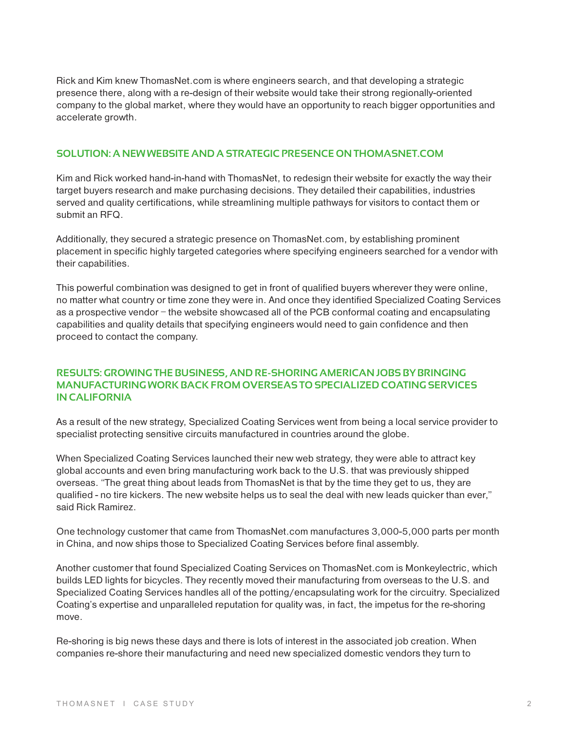Rick and Kim knew ThomasNet.com is where engineers search, and that developing a strategic presence there, along with a re-design of their website would take their strong regionally-oriented company to the global market, where they would have an opportunity to reach bigger opportunities and accelerate growth.

#### **Solution: A new website and a strategic presence on ThomasNet.com**

Kim and Rick worked hand-in-hand with ThomasNet, to redesign their website for exactly the way their target buyers research and make purchasing decisions. They detailed their capabilities, industries served and quality certifications, while streamlining multiple pathways for visitors to contact them or submit an RFQ.

Additionally, they secured a strategic presence on ThomasNet.com, by establishing prominent placement in specific highly targeted categories where specifying engineers searched for a vendor with their capabilities.

This powerful combination was designed to get in front of qualified buyers wherever they were online, no matter what country or time zone they were in. And once they identified Specialized Coating Services as a prospective vendor – the website showcased all of the PCB conformal coating and encapsulating capabilities and quality details that specifying engineers would need to gain confidence and then proceed to contact the company.

## **Results: Growing the business, and re-shoring American jobs by bringing manufacturing work back from overseas to Specialized Coating Services in California**

As a result of the new strategy, Specialized Coating Services went from being a local service provider to specialist protecting sensitive circuits manufactured in countries around the globe.

When Specialized Coating Services launched their new web strategy, they were able to attract key global accounts and even bring manufacturing work back to the U.S. that was previously shipped overseas. "The great thing about leads from ThomasNet is that by the time they get to us, they are qualified - no tire kickers. The new website helps us to seal the deal with new leads quicker than ever," said Rick Ramirez.

One technology customer that came from ThomasNet.com manufactures 3,000-5,000 parts per month in China, and now ships those to Specialized Coating Services before final assembly.

Another customer that found Specialized Coating Services on ThomasNet.com is Monkeylectric, which builds LED lights for bicycles. They recently moved their manufacturing from overseas to the U.S. and Specialized Coating Services handles all of the potting/encapsulating work for the circuitry. Specialized Coating's expertise and unparalleled reputation for quality was, in fact, the impetus for the re-shoring move.

Re-shoring is big news these days and there is lots of interest in the associated job creation. When companies re-shore their manufacturing and need new specialized domestic vendors they turn to